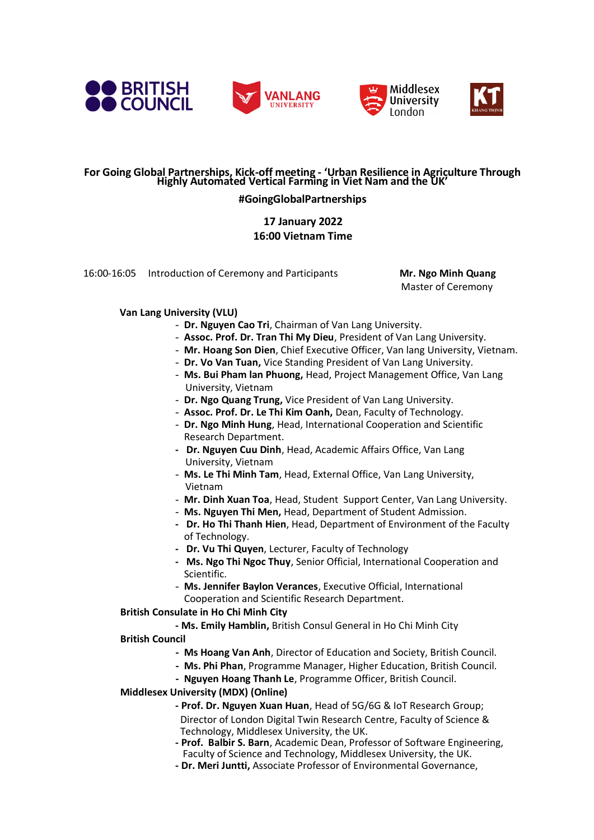







#### **For Going Global Partnerships, Kick-off meeting - 'Urban Resilience in Agriculture Through Highly Automated Vertical Farming in Viet Nam and the UK'**

### **#GoingGlobalPartnerships**

## **17 January 2022 16:00 Vietnam Time**

16:00-16:05 Introduction of Ceremony and Participants **Mr. Ngo Minh Quang** 

Master of Ceremony

### **Van Lang University (VLU)**

- **Dr. Nguyen Cao Tri**, Chairman of Van Lang University.
- **Assoc. Prof. Dr. Tran Thi My Dieu**, President of Van Lang University.
- **Mr. Hoang Son Dien**, Chief Executive Officer, Van lang University, Vietnam.
- **Dr. Vo Van Tuan,** Vice Standing President of Van Lang University.
- **Ms. Bui Pham lan Phuong,** Head, Project Management Office, Van Lang University, Vietnam
- **Dr. Ngo Quang Trung,** Vice President of Van Lang University.
- **Assoc. Prof. Dr. Le Thi Kim Oanh,** Dean, Faculty of Technology.
- **Dr. Ngo Minh Hung**, Head, International Cooperation and Scientific Research Department.
- **- Dr. Nguyen Cuu Dinh**, Head, Academic Affairs Office, Van Lang University, Vietnam
- **Ms. Le Thi Minh Tam**, Head, External Office, Van Lang University, Vietnam
- **Mr. Dinh Xuan Toa**, Head, Student Support Center, Van Lang University.
- **Ms. Nguyen Thi Men,** Head, Department of Student Admission.
- **- Dr. Ho Thi Thanh Hien**, Head, Department of Environment of the Faculty of Technology.
- **- Dr. Vu Thi Quyen**, Lecturer, Faculty of Technology
- **Ms. Ngo Thi Ngoc Thuy**, Senior Official, International Cooperation and Scientific.
- **Ms. Jennifer Baylon Verances**, Executive Official, International Cooperation and Scientific Research Department.

#### **British Consulate in Ho Chi Minh City**

- **- Ms. Emily Hamblin,** British Consul General in Ho Chi Minh City
- **British Council**
	- **- Ms Hoang Van Anh**, Director of Education and Society, British Council.
	- **- Ms. Phi Phan**, Programme Manager, Higher Education, British Council.
	- **- Nguyen Hoang Thanh Le**, Programme Officer, British Council.

## **Middlesex University (MDX) (Online)**

- **- Prof. Dr. Nguyen Xuan Huan**, Head of 5G/6G & IoT Research Group; Director of London Digital Twin Research Centre, Faculty of Science & Technology, Middlesex University, the UK.
- **- Prof. Balbir S. Barn**, Academic Dean, Professor of Software Engineering, Faculty of Science and Technology, Middlesex University, the UK.
- **- Dr. Meri Juntti,** Associate Professor of Environmental Governance,